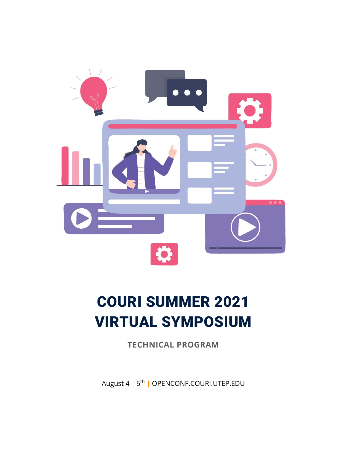

# COURI SUMMER 2021 VIRTUAL SYMPOSIUM

**TECHNICAL PROGRAM**

August 4 – 6th **|** OPENCONF.COURI.UTEP.EDU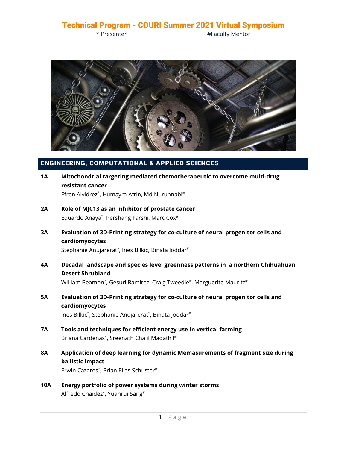\* Presenter **Accord 2018 #Faculty Mentor** 



#### ENGINEERING, COMPUTATIONAL & APPLIED SCIENCES

- **1A Mitochondrial targeting mediated chemotherapeutic to overcome multi-drug resistant cancer** Efren Alvidrez\*, Humayra Afrin, Md Nurunnabi#
- **2A Role of MJC13 as an inhibitor of prostate cancer** Eduardo Anaya\*, Pershang Farshi, Marc Cox#
- **3A Evaluation of 3D-Printing strategy for co-culture of neural progenitor cells and cardiomyocytes**

Stephanie Anujarerat\*, Ines Bilkic, Binata Joddar#

**4A Decadal landscape and species level greenness patterns in a northern Chihuahuan Desert Shrubland**

William Beamon<sup>\*</sup>, Gesuri Ramirez, Craig Tweedie<sup>#</sup>, Marguerite Mauritz<sup>#</sup>

- **5A Evaluation of 3D-Printing strategy for co-culture of neural progenitor cells and cardiomyocytes** Ines Bilkic\*, Stephanie Anujarerat\*, Binata Joddar#
- **7A Tools and techniques for efficient energy use in vertical farming** Briana Cardenas<sup>\*</sup>, Sreenath Chalil Madathil<sup>#</sup>
- **8A Application of deep learning for dynamic Memasurements of fragment size during ballistic impact**

Erwin Cazares\*, Brian Elias Schuster#

**10A Energy portfolio of power systems during winter storms** Alfredo Chaidez\*, Yuanrui Sang#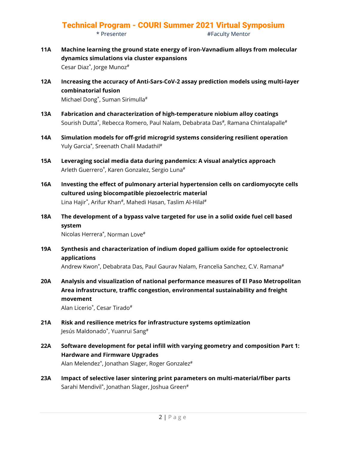- **11A Machine learning the ground state energy of iron-Vavnadium alloys from molecular dynamics simulations via cluster expansions** Cesar Diaz\*, Jorge Munoz#
- **12A Increasing the accuracy of Anti-Sars-CoV-2 assay prediction models using multi-layer combinatorial fusion** Michael Dong\*, Suman Sirimulla#
- **13A Fabrication and characterization of high-temperature niobium alloy coatings** Sourish Dutta\*, Rebecca Romero, Paul Nalam, Debabrata Das#, Ramana Chintalapalle#
- **14A Simulation models for off-grid microgrid systems considering resilient operation** Yuly Garcia<sup>\*</sup>, Sreenath Chalil Madathil<sup>#</sup>
- **15A Leveraging social media data during pandemics: A visual analytics approach** Arleth Guerrero\*, Karen Gonzalez, Sergio Luna#
- **16A Investing the effect of pulmonary arterial hypertension cells on cardiomyocyte cells cultured using biocompatible piezoelectric material** Lina Hajir\*, Arifur Khan#, Mahedi Hasan, Taslim Al-Hilal#
- **18A The development of a bypass valve targeted for use in a solid oxide fuel cell based system**

Nicolas Herrera\*, Norman Love#

**19A Synthesis and characterization of indium doped gallium oxide for optoelectronic applications**

Andrew Kwon\*, Debabrata Das, Paul Gaurav Nalam, Francelia Sanchez, C.V. Ramana#

**20A Analysis and visualization of national performance measures of El Paso Metropolitan Area infrastructure, traffic congestion, environmental sustainability and freight movement**

Alan Licerio\*, Cesar Tirado#

- **21A Risk and resilience metrics for infrastructure systems optimization** Jesús Maldonado\*, Yuanrui Sang#
- **22A Software development for petal infill with varying geometry and composition Part 1: Hardware and Firmware Upgrades** Alan Melendez\*, Jonathan Slager, Roger Gonzalez#
- **23A Impact of selective laser sintering print parameters on multi-material/fiber parts** Sarahi Mendivil<sup>\*</sup>, Jonathan Slager, Joshua Green<sup>#</sup>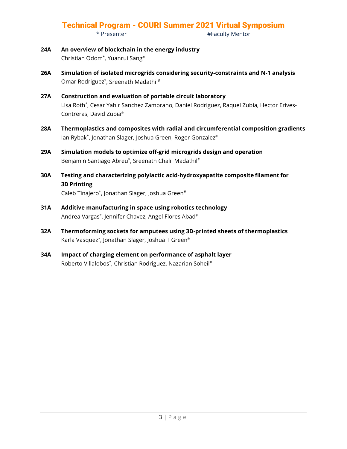- \* Presenter **Accord 2018 #Faculty Mentor**
- **24A An overview of blockchain in the energy industry** Christian Odom\*, Yuanrui Sang#
- **26A Simulation of isolated microgrids considering security-constraints and N-1 analysis** Omar Rodriguez\*, Sreenath Madathil#
- **27A Construction and evaluation of portable circuit laboratory** Lisa Roth\*, Cesar Yahir Sanchez Zambrano, Daniel Rodriguez, Raquel Zubia, Hector Erives-Contreras, David Zubia#
- **28A Thermoplastics and composites with radial and circumferential composition gradients** Ian Rybak\*, Jonathan Slager, Joshua Green, Roger Gonzalez#
- **29A Simulation models to optimize off-grid microgrids design and operation** Benjamin Santiago Abreu\*, Sreenath Chalil Madathil<sup>#</sup>
- **30A Testing and characterizing polylactic acid-hydroxyapatite composite filament for 3D Printing**

Caleb Tinajero\*, Jonathan Slager, Joshua Green#

- **31A Additive manufacturing in space using robotics technology** Andrea Vargas\*, Jennifer Chavez, Angel Flores Abad#
- **32A Thermoforming sockets for amputees using 3D-printed sheets of thermoplastics** Karla Vasquez\*, Jonathan Slager, Joshua T Green#
- **34A Impact of charging element on performance of asphalt layer** Roberto Villalobos\*, Christian Rodriguez, Nazarian Soheil<sup>#</sup>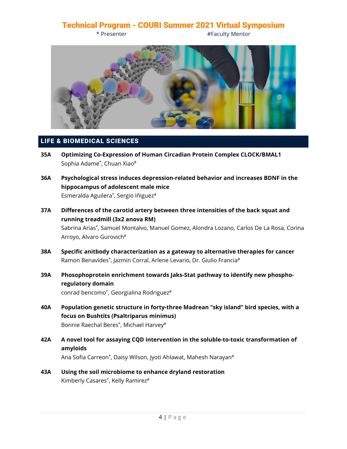\* Presenter #Faculty Mentor



#### LIFE & BIOMEDICAL SCIENCES

- **35A Optimizing Co-Expression of Human Circadian Protein Complex CLOCK/BMAL1** Sophia Adame\*, Chuan Xiao#
- **36A Psychological stress induces depression-related behavior and increases BDNF in the hippocampus of adolescent male mice** Esmeralda Aguilera<sup>\*</sup>, Sergio Iñiguez<sup>#</sup>
- **37A Differences of the carotid artery between three intensities of the back squat and running treadmill (3x2 anova RM)**

Sabrina Arias\*, Samuel Montalvo, Manuel Gomez, Alondra Lozano, Carlos De La Rosa, Corina Arroyo, Alvaro Gurovich#

- **38A Specific anitbody characterization as a gateway to alternative therapies for cancer** Ramon Benavides\*, Jazmin Corral, Arlene Levario, Dr. Giulio Francia#
- **39A Phosophoprotein enrichment towards Jaks-Stat pathway to identify new phosphoregulatory domain** conrad bencomo\*, Georgialina Rodriguez#
- **40A Population genetic structure in forty-three Madrean "sky island" bird species, with a focus on Bushtits (Psaltriparus minimus)** Bonnie Raechal Beres\*, Michael Harvey#
- **42A A novel tool for assaying CQD intervention in the soluble-to-toxic transformation of amyloids**

Ana Sofia Carreon<sup>\*</sup>, Daisy Wilson, Jyoti Ahlawat, Mahesh Narayan<sup>#</sup>

**43A Using the soil microbiome to enhance dryland restoration** Kimberly Casares\*, Kelly Ramirez#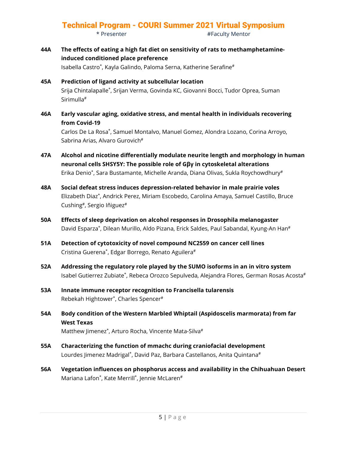\* Presenter #Faculty Mentor

**44A The effects of eating a high fat diet on sensitivity of rats to methamphetamineinduced conditioned place preference**

Isabella Castro\*, Kayla Galindo, Paloma Serna, Katherine Serafine#

- **45A Prediction of ligand activity at subcellular location** Srija Chintalapalle\*, Srijan Verma, Govinda KC, Giovanni Bocci, Tudor Oprea, Suman Sirimulla#
- **46A Early vascular aging, oxidative stress, and mental health in individuals recovering from Covid-19**

Carlos De La Rosa\*, Samuel Montalvo, Manuel Gomez, Alondra Lozano, Corina Arroyo, Sabrina Arias, Alvaro Gurovich<sup>#</sup>

- **47A Alcohol and nicotine differentially modulate neurite length and morphology in human neuronal cells SHSY5Y: The possible role of Gβγ in cytoskeletal alterations** Erika Denio\*, Sara Bustamante, Michelle Aranda, Diana Olivas, Sukla Roychowdhury#
- **48A Social defeat stress induces depression-related behavior in male prairie voles** Elizabeth Diaz\*, Andrick Perez, Miriam Escobedo, Carolina Amaya, Samuel Castillo, Bruce Cushing#, Sergio Iñiguez#
- **50A Effects of sleep deprivation on alcohol responses in Drosophila melanogaster** David Esparza\*, Dilean Murillo, Aldo Pizana, Erick Saldes, Paul Sabandal, Kyung-An Han#
- **51A Detection of cytotoxicity of novel compound NC2559 on cancer cell lines** Cristina Guerena\*, Edgar Borrego, Renato Aguilera#
- **52A Addressing the regulatory role played by the SUMO isoforms in an in vitro system** Isabel Gutierrez Zubiate\*, Rebeca Orozco Sepulveda, Alejandra Flores, German Rosas Acosta#
- **53A Innate immune receptor recognition to Francisella tularensis** Rebekah Hightower\*, Charles Spencer#
- **54A Body condition of the Western Marbled Whiptail (Aspidoscelis marmorata) from far West Texas** Matthew Jimenez\*, Arturo Rocha, Vincente Mata-Silva#
	-
- **55A Characterizing the function of mmachc during craniofacial development** Lourdes Jimenez Madrigal\*, David Paz, Barbara Castellanos, Anita Quintana#
- **56A Vegetation influences on phosphorus access and availability in the Chihuahuan Desert** Mariana Lafon\*, Kate Merrill\*, Jennie McLaren#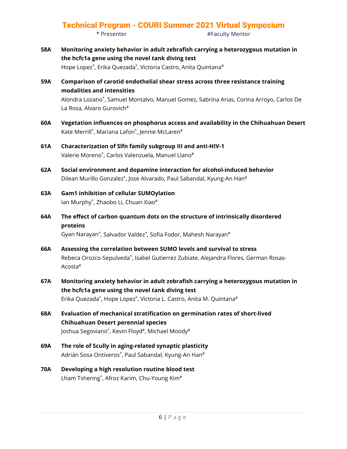\* Presenter **Accord 2018 #Faculty Mentor** 

**58A Monitoring anxiety behavior in adult zebrafish carrying a heterozygous mutation in the hcfc1a gene using the novel tank diving test**

Hope Lopez<sup>\*</sup>, Erika Quezada<sup>\*</sup>, Victoria Castro, Anita Quintana<sup>#</sup>

**59A Comparison of carotid endothelial shear stress across three resistance training modalities and intensities** Alondra Lozano\*, Samuel Montalvo, Manuel Gomez, Sabrina Arias, Corina Arroyo, Carlos De

La Rosa, Alvaro Gurovich#

- **60A Vegetation influences on phosphorus access and availability in the Chihuahuan Desert** Kate Merrill\*, Mariana Lafon\*, Jennie McLaren#
- **61A Characterization of Slfn family subgroup III and anti-HIV-1** Valerie Moreno\*, Carlos Valenzuela, Manuel Llano#
- **62A Social environment and dopamine interaction for alcohol-induced behavior** Dilean Murillo Gonzalez<sup>\*</sup>, Jose Alvarado, Paul Sabandal, Kyung-An Han<sup>#</sup>
- **63A Gam1 inhibition of cellular SUMOylation** Ian Murphy\*, Zhaobo Li, Chuan Xiao#
- **64A The effect of carbon quantum dots on the structure of intrinsically disordered proteins**

Gyan Narayan\*, Salvador Valdez\*, Sofia Fodor, Mahesh Narayan#

- **66A Assessing the correlation between SUMO levels and survival to stress** Rebeca Orozco-Sepulveda\*, Isabel Gutierrez Zubiate, Alejandra Flores, German Rosas-Acosta#
- **67A Monitoring anxiety behavior in adult zebrafish carrying a heterozygous mutation in the hcfc1a gene using the novel tank diving test** Erika Quezada\*, Hope Lopez\*, Victoria L. Castro, Anita M. Quintana#
- **68A Evaluation of mechanical stratification on germination rates of short-lived Chihuahuan Desert perennial species** Joshua Segoviano\*, Kevin Floyd#, Michael Moody#
- **69A The role of Scully in aging-related synaptic plasticity** Adrián Sosa Ontiveros\*, Paul Sabandal, Kyung-An Han#
- **70A Developing a high resolution routine blood test** Lham Tshering\*, Afroz Karim, Chu-Young Kim<sup>#</sup>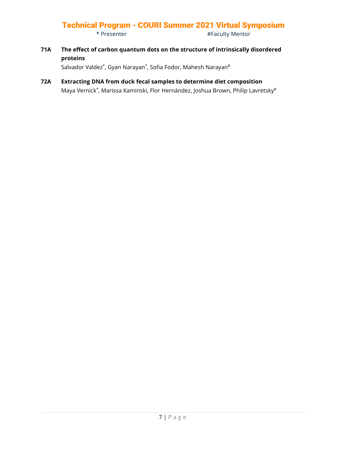\* Presenter **Accord Execution** #Faculty Mentor

**71A The effect of carbon quantum dots on the structure of intrinsically disordered proteins**

Salvador Valdez<sup>\*</sup>, Gyan Narayan<sup>\*</sup>, Sofia Fodor, Mahesh Narayan<sup>#</sup>

**72A Extracting DNA from duck fecal samples to determine diet composition** Maya Vernick\*, Marissa Kaminski, Flor Hernández, Joshua Brown, Philip Lavretsky#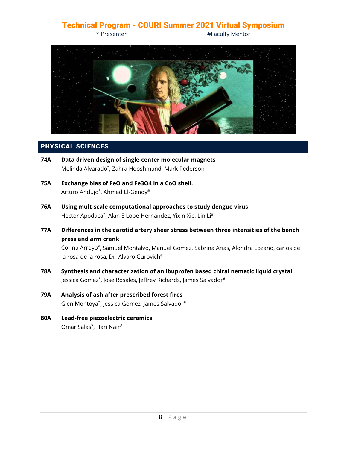\* Presenter **Accord Exercise 2** + Faculty Mentor



#### PHYSICAL SCIENCES

- **74A Data driven design of single-center molecular magnets** Melinda Alvarado\*, Zahra Hooshmand, Mark Pederson
- **75A Exchange bias of FeO and Fe3O4 in a CoO shell.** Arturo Andujo\*, Ahmed El-Gendy#
- **76A Using mult-scale computational approaches to study dengue virus** Hector Apodaca\*, Alan E Lope-Hernandez, Yixin Xie, Lin Li#
- **77A Differences in the carotid artery sheer stress between three intensities of the bench press and arm crank**

Corina Arroyo\*, Samuel Montalvo, Manuel Gomez, Sabrina Arias, Alondra Lozano, carlos de la rosa de la rosa, Dr. Alvaro Gurovich<sup>#</sup>

- **78A Synthesis and characterization of an ibuprofen based chiral nematic liquid crystal** Jessica Gomez\*, Jose Rosales, Jeffrey Richards, James Salvador#
- **79A Analysis of ash after prescribed forest fires** Glen Montoya\*, Jessica Gomez, James Salvador#
- **80A Lead-free piezoelectric ceramics** Omar Salas\*, Hari Nair#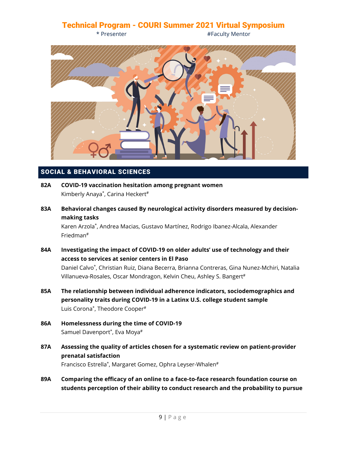\* Presenter **Accord Exercise 2** + Faculty Mentor



#### SOCIAL & BEHAVIORAL SCIENCES

- **82A COVID-19 vaccination hesitation among pregnant women** Kimberly Anaya<sup>\*</sup>, Carina Heckert<sup>#</sup>
- **83A Behavioral changes caused By neurological activity disorders measured by decisionmaking tasks**

Karen Arzola\*, Andrea Macias, Gustavo Martínez, Rodrigo Ibanez-Alcala, Alexander Friedman#

- **84A Investigating the impact of COVID-19 on older adults' use of technology and their access to services at senior centers in El Paso** Daniel Calvo\*, Christian Ruiz, Diana Becerra, Brianna Contreras, Gina Nunez-Mchiri, Natalia Villanueva-Rosales, Oscar Mondragon, Kelvin Cheu, Ashley S. Bangert#
- **85A The relationship between individual adherence indicators, sociodemographics and personality traits during COVID-19 in a Latinx U.S. college student sample** Luis Corona\*, Theodore Cooper#
- **86A Homelessness during the time of COVID-19** Samuel Davenport\*, Eva Moya#
- **87A Assessing the quality of articles chosen for a systematic review on patient-provider prenatal satisfaction** Francisco Estrella\*, Margaret Gomez, Ophra Leyser-Whalen#
- **89A Comparing the efficacy of an online to a face-to-face research foundation course on students perception of their ability to conduct research and the probability to pursue**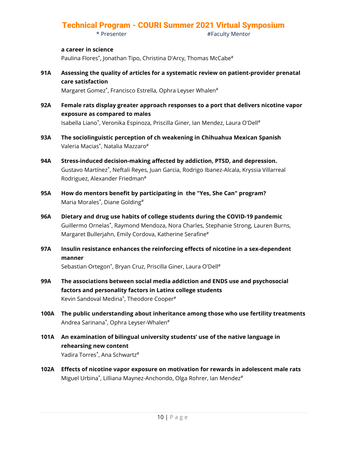\* Presenter #Faculty Mentor

#### **a career in science**

Paulina Flores<sup>\*</sup>, Jonathan Tipo, Christina D'Arcy, Thomas McCabe<sup>#</sup>

**91A Assessing the quality of articles for a systematic review on patient-provider prenatal care satisfaction**

Margaret Gomez\*, Francisco Estrella, Ophra Leyser Whalen#

- **92A Female rats display greater approach responses to a port that delivers nicotine vapor exposure as compared to males** Isabella Liano\*, Veronika Espinoza, Priscilla Giner, Ian Mendez, Laura O'Dell#
- **93A The sociolinguistic perception of ch weakening in Chihuahua Mexican Spanish** Valeria Macias\*, Natalia Mazzaro#
- **94A Stress-induced decision-making affected by addiction, PTSD, and depression.** Gustavo Martínez\*, Neftali Reyes, Juan Garcia, Rodrigo Ibanez-Alcala, Kryssia Villarreal Rodriguez, Alexander Friedman#
- **95A How do mentors benefit by participating in the "Yes, She Can" program?** Maria Morales\*, Diane Golding#
- **96A Dietary and drug use habits of college students during the COVID-19 pandemic** Guillermo Ornelas\*, Raymond Mendoza, Nora Charles, Stephanie Strong, Lauren Burns, Margaret Bullerjahn, Emily Cordova, Katherine Serafine#
- **97A Insulin resistance enhances the reinforcing effects of nicotine in a sex-dependent manner**

Sebastian Ortegon\*, Bryan Cruz, Priscilla Giner, Laura O'Dell#

- **99A The associations between social media addiction and ENDS use and psychosocial factors and personality factors in Latinx college students** Kevin Sandoval Medina\*, Theodore Cooper#
- **100A The public understanding about inheritance among those who use fertility treatments** Andrea Sarinana\*, Ophra Leyser-Whalen#
- **101A An examination of bilingual university students' use of the native language in rehearsing new content** Yadira Torres\*, Ana Schwartz#
- **102A Effects of nicotine vapor exposure on motivation for rewards in adolescent male rats** Miguel Urbina<sup>\*</sup>, Lilliana Maynez-Anchondo, Olga Rohrer, Ian Mendez<sup>#</sup>